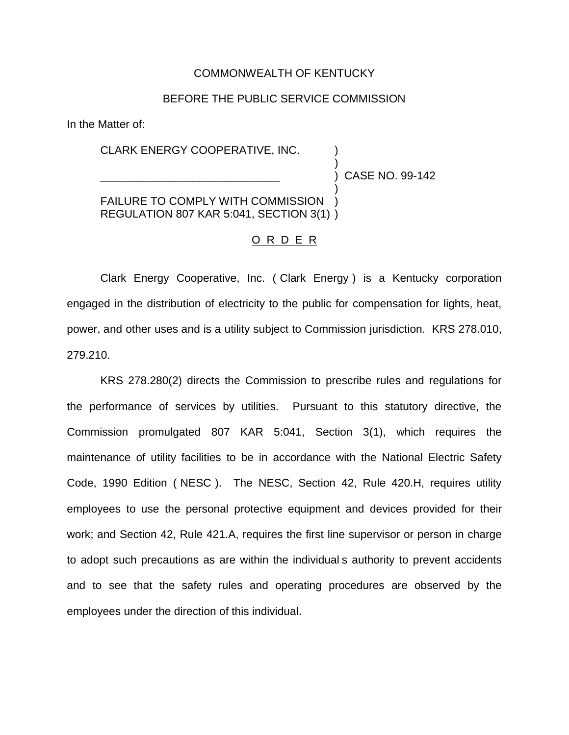# COMMONWEALTH OF KENTUCKY

# BEFORE THE PUBLIC SERVICE COMMISSION

In the Matter of:

# CLARK ENERGY COOPERATIVE, INC. )

\_\_\_\_\_\_\_\_\_\_\_\_\_\_\_\_\_\_\_\_\_\_\_\_\_\_\_\_\_ ) CASE NO. 99-142

)

)

FAILURE TO COMPLY WITH COMMISSION REGULATION 807 KAR 5:041, SECTION 3(1) )

#### O R D E R

Clark Energy Cooperative, Inc. ( Clark Energy ) is a Kentucky corporation engaged in the distribution of electricity to the public for compensation for lights, heat, power, and other uses and is a utility subject to Commission jurisdiction. KRS 278.010, 279.210.

KRS 278.280(2) directs the Commission to prescribe rules and regulations for the performance of services by utilities. Pursuant to this statutory directive, the Commission promulgated 807 KAR 5:041, Section 3(1), which requires the maintenance of utility facilities to be in accordance with the National Electric Safety Code, 1990 Edition ( NESC ). The NESC, Section 42, Rule 420.H, requires utility employees to use the personal protective equipment and devices provided for their work; and Section 42, Rule 421.A, requires the first line supervisor or person in charge to adopt such precautions as are within the individual s authority to prevent accidents and to see that the safety rules and operating procedures are observed by the employees under the direction of this individual.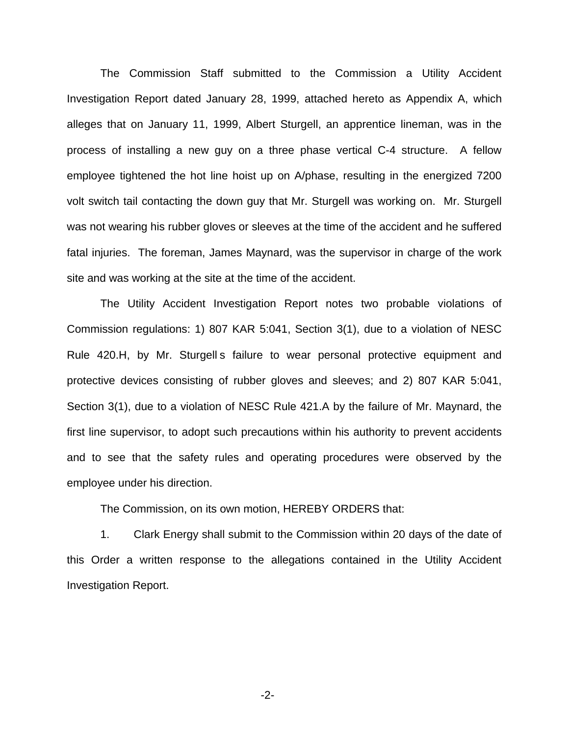The Commission Staff submitted to the Commission a Utility Accident Investigation Report dated January 28, 1999, attached hereto as Appendix A, which alleges that on January 11, 1999, Albert Sturgell, an apprentice lineman, was in the process of installing a new guy on a three phase vertical C-4 structure. A fellow employee tightened the hot line hoist up on A/phase, resulting in the energized 7200 volt switch tail contacting the down guy that Mr. Sturgell was working on. Mr. Sturgell was not wearing his rubber gloves or sleeves at the time of the accident and he suffered fatal injuries. The foreman, James Maynard, was the supervisor in charge of the work site and was working at the site at the time of the accident.

The Utility Accident Investigation Report notes two probable violations of Commission regulations: 1) 807 KAR 5:041, Section 3(1), due to a violation of NESC Rule 420.H, by Mr. Sturgell s failure to wear personal protective equipment and protective devices consisting of rubber gloves and sleeves; and 2) 807 KAR 5:041, Section 3(1), due to a violation of NESC Rule 421.A by the failure of Mr. Maynard, the first line supervisor, to adopt such precautions within his authority to prevent accidents and to see that the safety rules and operating procedures were observed by the employee under his direction.

The Commission, on its own motion, HEREBY ORDERS that:

1. Clark Energy shall submit to the Commission within 20 days of the date of this Order a written response to the allegations contained in the Utility Accident Investigation Report.

-2-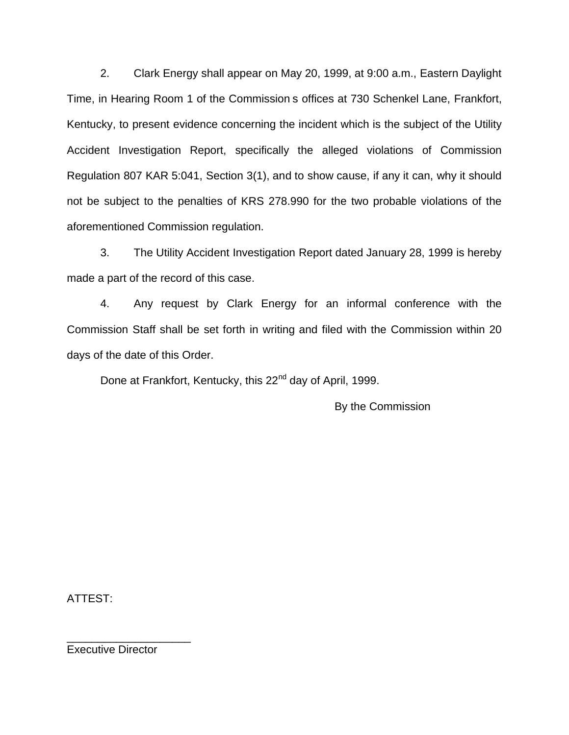2. Clark Energy shall appear on May 20, 1999, at 9:00 a.m., Eastern Daylight Time, in Hearing Room 1 of the Commission s offices at 730 Schenkel Lane, Frankfort, Kentucky, to present evidence concerning the incident which is the subject of the Utility Accident Investigation Report, specifically the alleged violations of Commission Regulation 807 KAR 5:041, Section 3(1), and to show cause, if any it can, why it should not be subject to the penalties of KRS 278.990 for the two probable violations of the aforementioned Commission regulation.

3. The Utility Accident Investigation Report dated January 28, 1999 is hereby made a part of the record of this case.

4. Any request by Clark Energy for an informal conference with the Commission Staff shall be set forth in writing and filed with the Commission within 20 days of the date of this Order.

Done at Frankfort, Kentucky, this 22<sup>nd</sup> day of April, 1999.

By the Commission

ATTEST:

Executive Director

\_\_\_\_\_\_\_\_\_\_\_\_\_\_\_\_\_\_\_\_